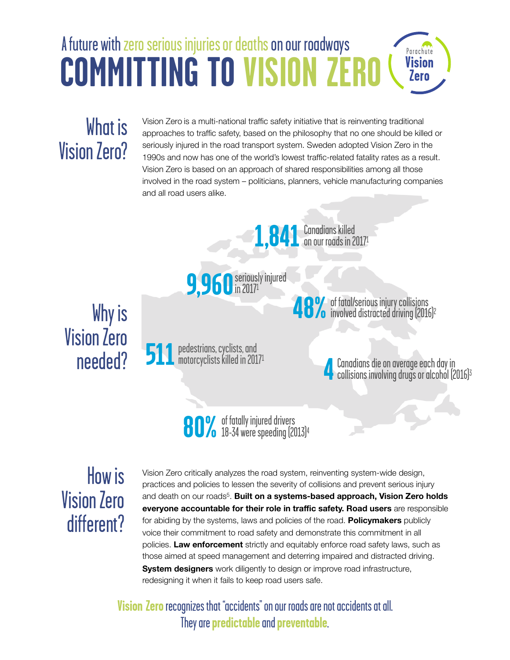#### A future with zero serious injuries or deaths on our roadwaysParachute **COMMITTING TO VISION ZERO Vision** Zero

# What is Vision Zero?

Vision Zero is a multi-national traffic safety initiative that is reinventing traditional approaches to traffic safety, based on the philosophy that no one should be killed or seriously injured in the road transport system. Sweden adopted Vision Zero in the 1990s and now has one of the world's lowest traffic-related fatality rates as a result. Vision Zero is based on an approach of shared responsibilities among all those involved in the road system – politicians, planners, vehicle manufacturing companies and all road users alike.





Why is Vision Zero needed?

**511** pedestrians, cyclists, and<br>**511** motorcyclists killed in 20171

**48%** of fatal/serious injury collisions<br>involved distracted driving (2016)<sup>2</sup>

**4** Canadians die on average each day in<br>Collisions involving drugs or alcohol (2016)<sup>3</sup>

**80%** of fatally injured drivers<br>**80%** 18-34 were speeding (2013)<sup>4</sup>

## How is Vision Zero different?

Vision Zero critically analyzes the road system, reinventing system-wide design, practices and policies to lessen the severity of collisions and prevent serious injury and death on our roads<sup>5</sup>. Built on a systems-based approach, Vision Zero holds **everyone accountable for their role in traffic safety. Road users** are responsible for abiding by the systems, laws and policies of the road. **Policymakers** publicly voice their commitment to road safety and demonstrate this commitment in all policies. **Law enforcement** strictly and equitably enforce road safety laws, such as those aimed at speed management and deterring impaired and distracted driving. **System designers** work diligently to design or improve road infrastructure, redesigning it when it fails to keep road users safe.

**Vision Zero** recognizes that "accidents" on our roads are not accidents at all. They are **predictable** and **preventable**.